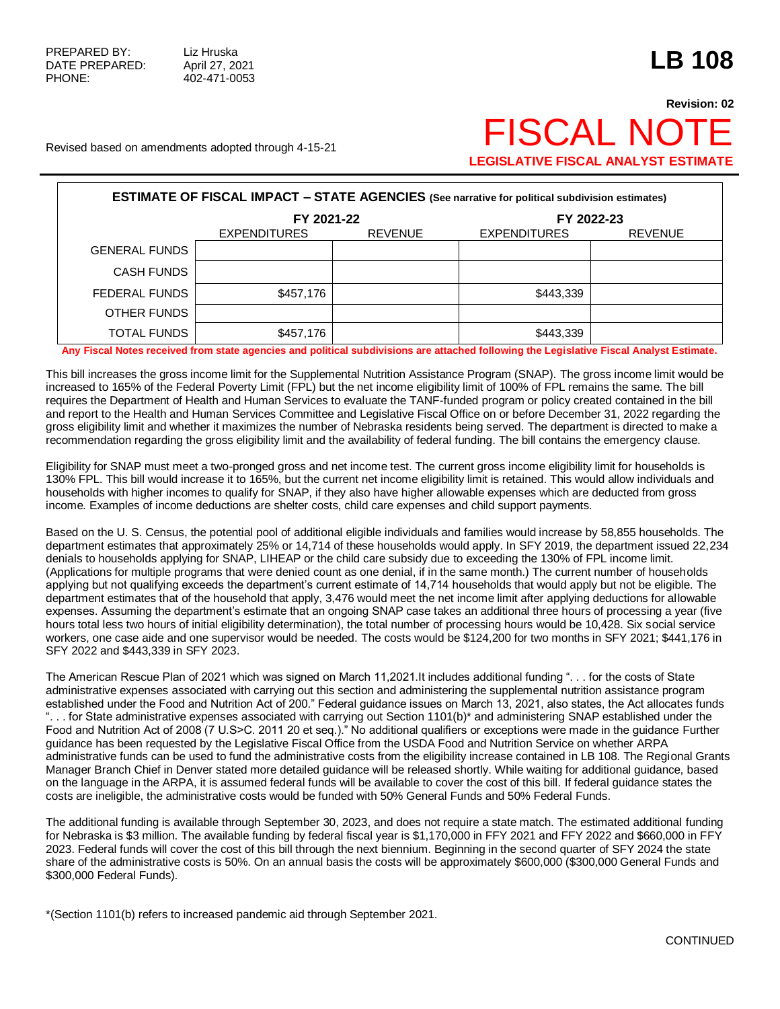## **Revision: 02** Revised based on amendments adopted through 4-15-21  $\mathsf{FSCAL}$   $\mathsf{NO}^\dagger$ **LEGISLATIVE FISCAL ANALYST ESTIMATE**

| <b>ESTIMATE OF FISCAL IMPACT - STATE AGENCIES (See narrative for political subdivision estimates)</b> |                     |                |                     |                |  |  |  |  |  |
|-------------------------------------------------------------------------------------------------------|---------------------|----------------|---------------------|----------------|--|--|--|--|--|
|                                                                                                       | FY 2021-22          |                | FY 2022-23          |                |  |  |  |  |  |
|                                                                                                       | <b>EXPENDITURES</b> | <b>REVENUE</b> | <b>EXPENDITURES</b> | <b>REVENUE</b> |  |  |  |  |  |
| <b>GENERAL FUNDS</b>                                                                                  |                     |                |                     |                |  |  |  |  |  |
| <b>CASH FUNDS</b>                                                                                     |                     |                |                     |                |  |  |  |  |  |
| FEDERAL FUNDS                                                                                         | \$457,176           |                | \$443,339           |                |  |  |  |  |  |
| OTHER FUNDS                                                                                           |                     |                |                     |                |  |  |  |  |  |
| <b>TOTAL FUNDS</b>                                                                                    | \$457,176           |                | \$443,339           |                |  |  |  |  |  |

**Any Fiscal Notes received from state agencies and political subdivisions are attached following the Legislative Fiscal Analyst Estimate.**

This bill increases the gross income limit for the Supplemental Nutrition Assistance Program (SNAP). The gross income limit would be increased to 165% of the Federal Poverty Limit (FPL) but the net income eligibility limit of 100% of FPL remains the same. The bill requires the Department of Health and Human Services to evaluate the TANF-funded program or policy created contained in the bill and report to the Health and Human Services Committee and Legislative Fiscal Office on or before December 31, 2022 regarding the gross eligibility limit and whether it maximizes the number of Nebraska residents being served. The department is directed to make a recommendation regarding the gross eligibility limit and the availability of federal funding. The bill contains the emergency clause.

Eligibility for SNAP must meet a two-pronged gross and net income test. The current gross income eligibility limit for households is 130% FPL. This bill would increase it to 165%, but the current net income eligibility limit is retained. This would allow individuals and households with higher incomes to qualify for SNAP, if they also have higher allowable expenses which are deducted from gross income. Examples of income deductions are shelter costs, child care expenses and child support payments.

Based on the U. S. Census, the potential pool of additional eligible individuals and families would increase by 58,855 households. The department estimates that approximately 25% or 14,714 of these households would apply. In SFY 2019, the department issued 22,234 denials to households applying for SNAP, LIHEAP or the child care subsidy due to exceeding the 130% of FPL income limit. (Applications for multiple programs that were denied count as one denial, if in the same month.) The current number of households applying but not qualifying exceeds the department's current estimate of 14,714 households that would apply but not be eligible. The department estimates that of the household that apply, 3,476 would meet the net income limit after applying deductions for allowable expenses. Assuming the department's estimate that an ongoing SNAP case takes an additional three hours of processing a year (five hours total less two hours of initial eligibility determination), the total number of processing hours would be 10,428. Six social service workers, one case aide and one supervisor would be needed. The costs would be \$124,200 for two months in SFY 2021; \$441,176 in SFY 2022 and \$443,339 in SFY 2023.

The American Rescue Plan of 2021 which was signed on March 11,2021.It includes additional funding ". . . for the costs of State administrative expenses associated with carrying out this section and administering the supplemental nutrition assistance program established under the Food and Nutrition Act of 200." Federal guidance issues on March 13, 2021, also states, the Act allocates funds ". . . for State administrative expenses associated with carrying out Section 1101(b)\* and administering SNAP established under the Food and Nutrition Act of 2008 (7 U.S>C. 2011 20 et seq.)." No additional qualifiers or exceptions were made in the guidance Further guidance has been requested by the Legislative Fiscal Office from the USDA Food and Nutrition Service on whether ARPA administrative funds can be used to fund the administrative costs from the eligibility increase contained in LB 108. The Regional Grants Manager Branch Chief in Denver stated more detailed guidance will be released shortly. While waiting for additional guidance, based on the language in the ARPA, it is assumed federal funds will be available to cover the cost of this bill. If federal guidance states the costs are ineligible, the administrative costs would be funded with 50% General Funds and 50% Federal Funds.

The additional funding is available through September 30, 2023, and does not require a state match. The estimated additional funding for Nebraska is \$3 million. The available funding by federal fiscal year is \$1,170,000 in FFY 2021 and FFY 2022 and \$660,000 in FFY 2023. Federal funds will cover the cost of this bill through the next biennium. Beginning in the second quarter of SFY 2024 the state share of the administrative costs is 50%. On an annual basis the costs will be approximately \$600,000 (\$300,000 General Funds and \$300,000 Federal Funds).

\*(Section 1101(b) refers to increased pandemic aid through September 2021.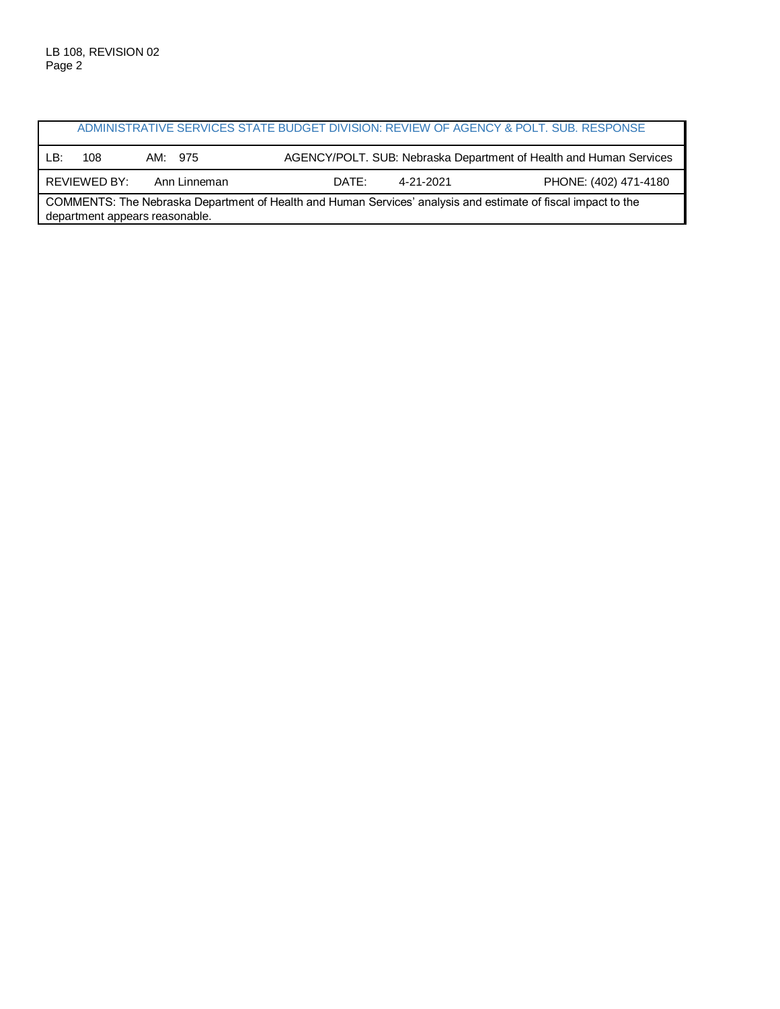|                                                                                                                                                 |              |              |       |           | ADMINISTRATIVE SERVICES STATE BUDGET DIVISION: REVIEW OF AGENCY & POLT. SUB. RESPONSE |  |
|-------------------------------------------------------------------------------------------------------------------------------------------------|--------------|--------------|-------|-----------|---------------------------------------------------------------------------------------|--|
| LB:                                                                                                                                             | 108          | AM: 975      |       |           | AGENCY/POLT. SUB: Nebraska Department of Health and Human Services                    |  |
|                                                                                                                                                 | REVIEWED BY: | Ann Linneman | DATE: | 4-21-2021 | PHONE: (402) 471-4180                                                                 |  |
| COMMENTS: The Nebraska Department of Health and Human Services' analysis and estimate of fiscal impact to the<br>department appears reasonable. |              |              |       |           |                                                                                       |  |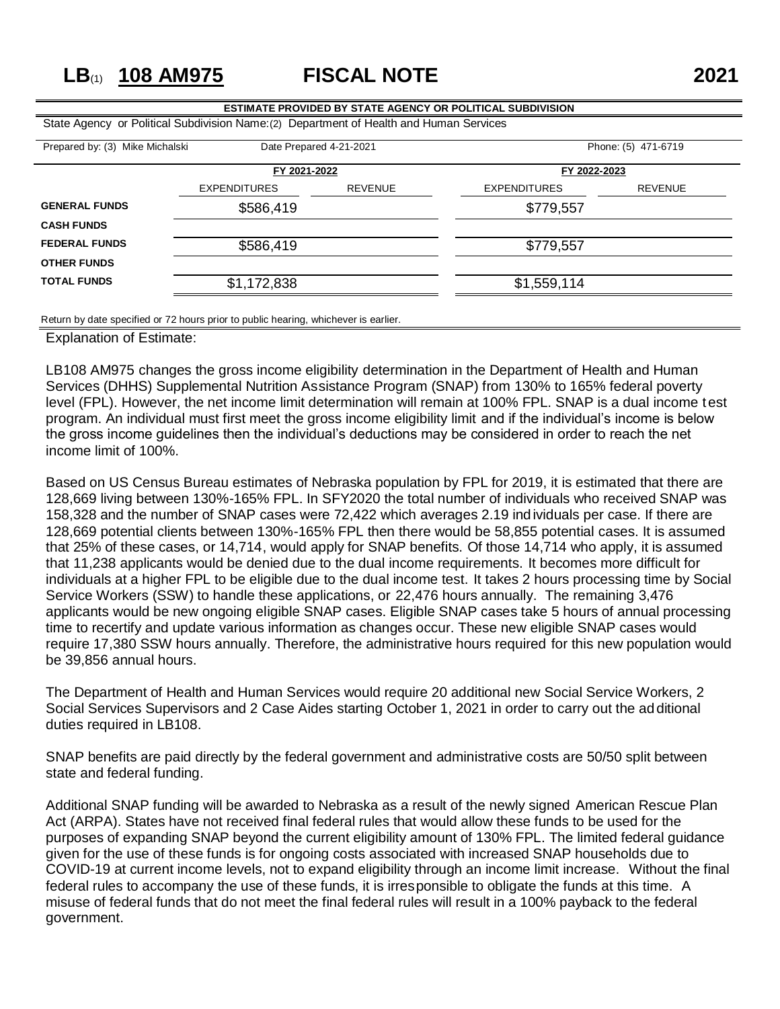## **LB**(1) **108 AM975 FISCAL NOTE 2021**

## **ESTIMATE PROVIDED BY STATE AGENCY OR POLITICAL SUBDIVISION** State Agency or Political Subdivision Name:(2) Department of Health and Human Services Prepared by: (3) Mike Michalski Date Prepared 4-21-2021 Phone: (5) 471-6719 **FY 2021-2022 FY 2022-2023** EXPENDITURES REVENUE EXPENDITURES REVENUE **GENERAL FUNDS** \$586,419 \$586,419 **CASH FUNDS FEDERAL FUNDS** \$586,419 \$779,557 **OTHER FUNDS** TOTAL FUNDS \$1,172,838 \$1,172,838 \$1,559,114

Return by date specified or 72 hours prior to public hearing, whichever is earlier.

Explanation of Estimate:

LB108 AM975 changes the gross income eligibility determination in the Department of Health and Human Services (DHHS) Supplemental Nutrition Assistance Program (SNAP) from 130% to 165% federal poverty level (FPL). However, the net income limit determination will remain at 100% FPL. SNAP is a dual income test program. An individual must first meet the gross income eligibility limit and if the individual's income is below the gross income guidelines then the individual's deductions may be considered in order to reach the net income limit of 100%.

Based on US Census Bureau estimates of Nebraska population by FPL for 2019, it is estimated that there are 128,669 living between 130%-165% FPL. In SFY2020 the total number of individuals who received SNAP was 158,328 and the number of SNAP cases were 72,422 which averages 2.19 individuals per case. If there are 128,669 potential clients between 130%-165% FPL then there would be 58,855 potential cases. It is assumed that 25% of these cases, or 14,714, would apply for SNAP benefits. Of those 14,714 who apply, it is assumed that 11,238 applicants would be denied due to the dual income requirements. It becomes more difficult for individuals at a higher FPL to be eligible due to the dual income test. It takes 2 hours processing time by Social Service Workers (SSW) to handle these applications, or 22,476 hours annually. The remaining 3,476 applicants would be new ongoing eligible SNAP cases. Eligible SNAP cases take 5 hours of annual processing time to recertify and update various information as changes occur. These new eligible SNAP cases would require 17,380 SSW hours annually. Therefore, the administrative hours required for this new population would be 39,856 annual hours.

The Department of Health and Human Services would require 20 additional new Social Service Workers, 2 Social Services Supervisors and 2 Case Aides starting October 1, 2021 in order to carry out the additional duties required in LB108.

SNAP benefits are paid directly by the federal government and administrative costs are 50/50 split between state and federal funding.

Additional SNAP funding will be awarded to Nebraska as a result of the newly signed American Rescue Plan Act (ARPA). States have not received final federal rules that would allow these funds to be used for the purposes of expanding SNAP beyond the current eligibility amount of 130% FPL. The limited federal guidance given for the use of these funds is for ongoing costs associated with increased SNAP households due to COVID-19 at current income levels, not to expand eligibility through an income limit increase. Without the final federal rules to accompany the use of these funds, it is irresponsible to obligate the funds at this time. A misuse of federal funds that do not meet the final federal rules will result in a 100% payback to the federal government.